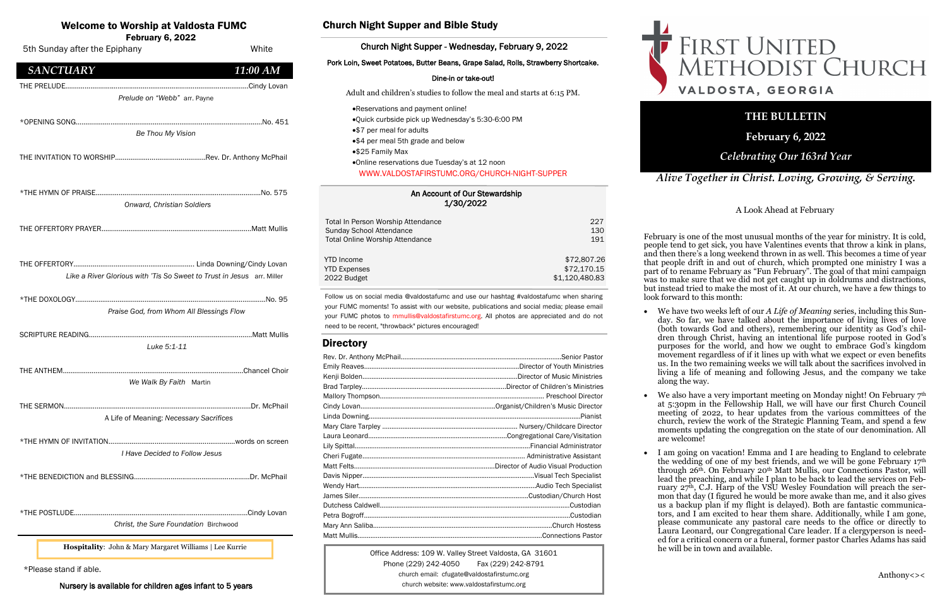| An Account of Our Stewardship<br>1/30/2022 |  |
|--------------------------------------------|--|
|                                            |  |

| Total In Person Worship Attendance     | 227            |
|----------------------------------------|----------------|
| Sunday School Attendance               | 130            |
| <b>Total Online Worship Attendance</b> | 191            |
|                                        |                |
| <b>YTD</b> Income                      | \$72,807.26    |
| <b>YTD Expenses</b>                    | \$72,170.15    |
| 2022 Budget                            | \$1,120,480.83 |
|                                        |                |

# Welcome to Worship at Valdosta FUMC

February 6, 2022

Office Address: 109 W. Valley Street Valdosta, GA 31601 Phone (229) 242-4050 Fax (229) 242-8791 church email: cfugate@valdostafirstumc.org church website: www.valdostafirstumc.org





*Alive Together in Christ. Loving, Growing, & Serving.*

# **THE BULLETIN**

**February 6, 2022**

# *Celebrating Our 163rd Year*

| 5th Sunday after the Epiphany                                          | White    |
|------------------------------------------------------------------------|----------|
| <b>SANCTUARY</b>                                                       | 11:00 AM |
|                                                                        |          |
| Prelude on "Webb" arr. Payne                                           |          |
|                                                                        |          |
| Be Thou My Vision                                                      |          |
|                                                                        |          |
|                                                                        |          |
|                                                                        |          |
| Onward, Christian Soldiers                                             |          |
|                                                                        |          |
|                                                                        |          |
|                                                                        |          |
| Like a River Glorious with 'Tis So Sweet to Trust in Jesus arr. Miller |          |
|                                                                        |          |
| Praise God, from Whom All Blessings Flow                               |          |
|                                                                        |          |
| Luke 5:1-11                                                            |          |
|                                                                        |          |
| We Walk By Faith Martin                                                |          |
|                                                                        |          |
| A Life of Meaning: Necessary Sacrifices                                |          |
|                                                                        |          |
| I Have Decided to Follow Jesus                                         |          |
|                                                                        |          |
|                                                                        |          |
|                                                                        |          |
| Christ, the Sure Foundation Birchwood                                  |          |
| Hospitality: John & Mary Margaret Williams   Lee Kurrie                |          |
|                                                                        |          |

Follow us on social media @valdostafumc and use our hashtag #valdostafumc when sharing your FUMC moments! To assist with our website, publications and social media; please email your FUMC photos to mmullis@valdostafirstumc.org. All photos are appreciated and do not need to be recent, "throwback" pictures encouraged!

# **Directory**

# Church Night Supper and Bible Study

Church Night Supper - Wednesday, February 9, 2022

#### Pork Loin, Sweet Potatoes, Butter Beans, Grape Salad, Rolls, Strawberry Shortcake.

#### Dine-in or take-out!

Adult and children's studies to follow the meal and starts at 6:15 PM.

- •Reservations and payment online!
- •Quick curbside pick up Wednesday's 5:30-6:00 PM
- •\$7 per meal for adults
- •\$4 per meal 5th grade and below
- •\$25 Family Max
- •Online reservations due Tuesday's at 12 noon WWW.VALDOSTAFIRSTUMC.ORG/CHURCH-NIGHT-SUPPER

\*Please stand if able.

Nursery is available for children ages infant to 5 years

• We also have a very important meeting on Monday night! On February  $7<sup>th</sup>$ at 5:30pm in the Fellowship Hall, we will have our first Church Council meeting of 2022, to hear updates from the various committees of the church, review the work of the Strategic Planning Team, and spend a few moments updating the congregation on the state of our denomination. All

A Look Ahead at February

February is one of the most unusual months of the year for ministry. It is cold, people tend to get sick, you have Valentines events that throw a kink in plans, and then there's a long weekend thrown in as well. This becomes a time of year that people drift in and out of church, which prompted one ministry I was a part of to rename February as "Fun February". The goal of that mini campaign was to make sure that we did not get caught up in doldrums and distractions, but instead tried to make the most of it. At our church, we have a few things to look forward to this month:

• We have two weeks left of our *A Life of Meaning* series, including this Sunday. So far, we have talked about the importance of living lives of love (both towards God and others), remembering our identity as God's children through Christ, having an intentional life purpose rooted in God's purposes for the world, and how we ought to embrace God's kingdom movement regardless of if it lines up with what we expect or even benefits us. In the two remaining weeks we will talk about the sacrifices involved in living a life of meaning and following Jesus, and the company we take

- along the way.
- are welcome!
- 

# FIRST UNITED<br>METHODIST CHURCH VALDOSTA, GEORGIA

• I am going on vacation! Emma and I are heading to England to celebrate the wedding of one of my best friends, and we will be gone February  $17<sup>th</sup>$ through 26th. On February 20th Matt Mullis, our Connections Pastor, will lead the preaching, and while I plan to be back to lead the services on February  $27<sup>th</sup>$ , C.J. Harp of the VSU Wesley Foundation will preach the sermon that day (I figured he would be more awake than me, and it also gives us a backup plan if my flight is delayed). Both are fantastic communicators, and I am excited to hear them share. Additionally, while I am gone, please communicate any pastoral care needs to the office or directly to Laura Leonard, our Congregational Care leader. If a clergyperson is needed for a critical concern or a funeral, former pastor Charles Adams has said he will be in town and available.